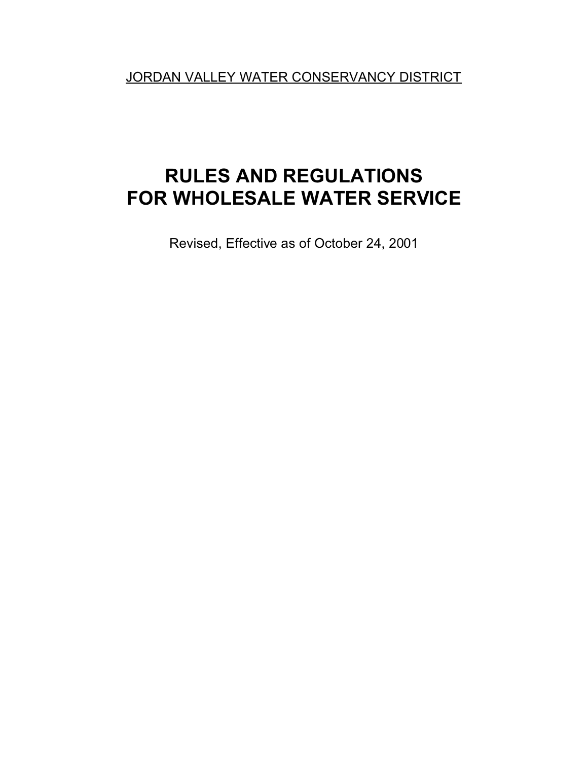JORDAN VALLEY WATER CONSERVANCY DISTRICT

# **RULES AND REGULATIONS FOR WHOLESALE WATER SERVICE**

Revised, Effective as of October 24, 2001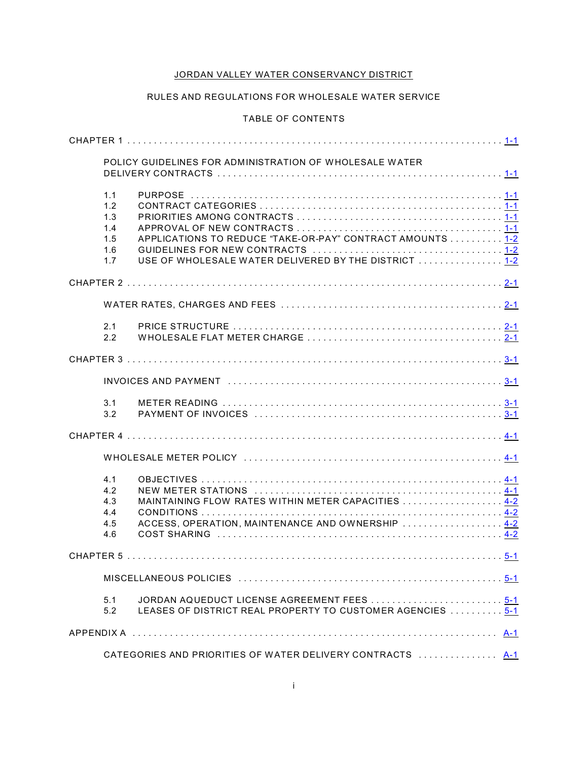# JORDAN VALLEY WATER CONSERVANCY DISTRICT

## RULES AND REGULATIONS FOR WHOLESALE WATER SERVICE

## TABLE OF CONTENTS

|                                               | POLICY GUIDELINES FOR ADMINISTRATION OF WHOLESALE WATER                                                             |  |
|-----------------------------------------------|---------------------------------------------------------------------------------------------------------------------|--|
| 1.1<br>1.2<br>1.3<br>1.4<br>1.5<br>1.6<br>1.7 | APPLICATIONS TO REDUCE "TAKE-OR-PAY" CONTRACT AMOUNTS  1-2<br>USE OF WHOLESALE WATER DELIVERED BY THE DISTRICT  1-2 |  |
|                                               |                                                                                                                     |  |
|                                               |                                                                                                                     |  |
| 2.1<br>2.2                                    |                                                                                                                     |  |
|                                               |                                                                                                                     |  |
|                                               |                                                                                                                     |  |
| 3.1<br>3.2                                    |                                                                                                                     |  |
|                                               |                                                                                                                     |  |
|                                               |                                                                                                                     |  |
| 4.1<br>4.2<br>4.3<br>4.4<br>4.5<br>4.6        | MAINTAINING FLOW RATES WITHIN METER CAPACITIES  4-2<br>ACCESS, OPERATION, MAINTENANCE AND OWNERSHIP  4-2            |  |
|                                               |                                                                                                                     |  |
|                                               |                                                                                                                     |  |
| 5.1<br>5.2                                    | JORDAN AQUEDUCT LICENSE AGREEMENT FEES 5-1<br>LEASES OF DISTRICT REAL PROPERTY TO CUSTOMER AGENCIES  5-1            |  |
|                                               |                                                                                                                     |  |
|                                               | CATEGORIES AND PRIORITIES OF WATER DELIVERY CONTRACTS  A-1                                                          |  |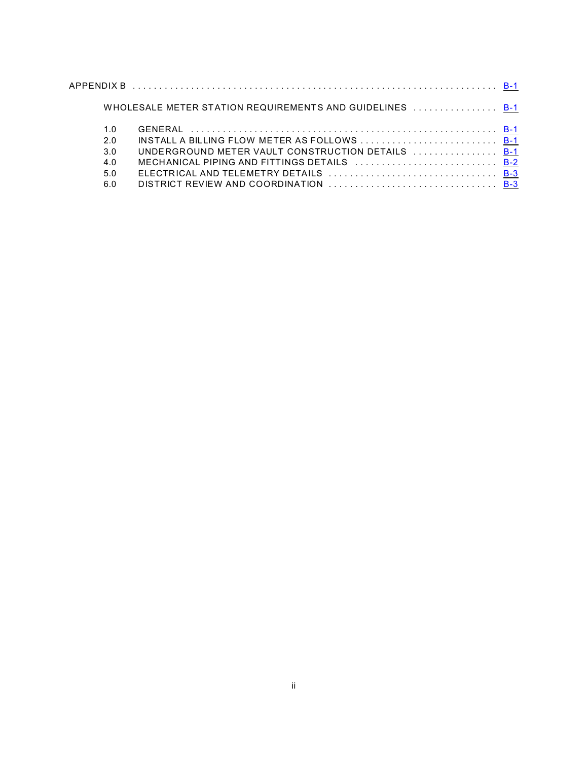|     | WHOLESALE METER STATION REQUIREMENTS AND GUIDELINES  B-1 |  |
|-----|----------------------------------------------------------|--|
| 1.0 |                                                          |  |
| 2.0 |                                                          |  |
| 3.0 | UNDERGROUND METER VAULT CONSTRUCTION DETAILS  B-1        |  |
| 4.0 | MECHANICAL PIPING AND FITTINGS DETAILS  B-2              |  |
| 5.0 |                                                          |  |
| 6.0 |                                                          |  |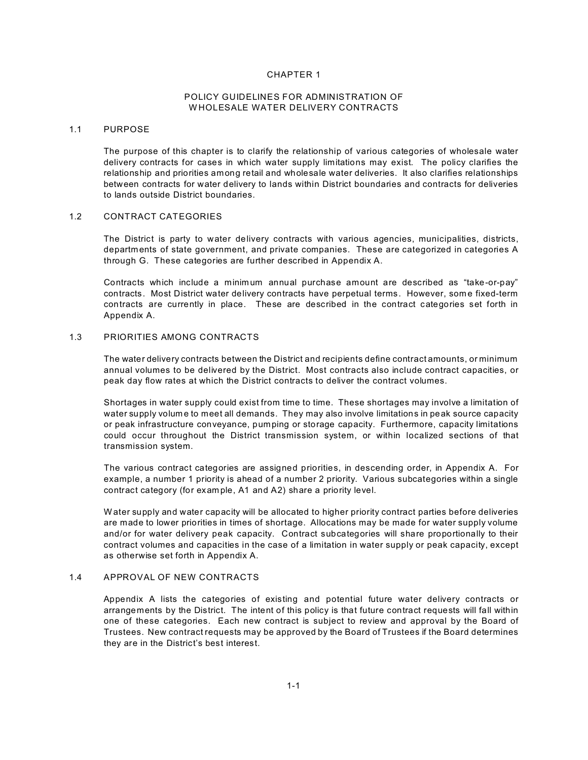#### POLICY GUIDELINES FOR ADMINISTRATION OF W HOLESALE WATER DELIVERY CONTRACTS

#### 1.1 PURPOSE

The purpose of this chapter is to clarify the relationship of various categories of wholesale water delivery contracts for cases in which water supply limitations may exist. The policy clarifies the relationship and priorities among retail and wholesale water deliveries. It also clarifies relationships between contracts for water delivery to lands within District boundaries and contracts for deliveries to lands outside District boundaries.

## 1.2 CONTRACT CATEGORIES

The District is party to water delivery contracts with various agencies, municipalities, districts, departm ents of state government, and private companies. These are categorized in categories A through G. These categories are further described in Appendix A.

Contracts which include a minim um annual purchase amount are described as "take-or-pay" contracts. Most District water delivery contracts have perpetual terms. However, som e fixed-term contracts are currently in place. These are described in the contract categories set forth in Appendix A.

#### 1.3 PRIORITIES AMONG CONTRACTS

The water delivery contracts between the District and recipients define contract amounts, or minimum annual volumes to be delivered by the District. Most contracts also include contract capacities, or peak day flow rates at which the District contracts to deliver the contract volumes.

Shortages in water supply could exist from time to time. These shortages may involve a limitation of water supply volum e to meet all demands. They may also involve limitations in peak source capacity or peak infrastructure conveyance, pumping or storage capacity. Furthermore, capacity limitations could occur throughout the District transmission system, or within localized sections of that transmission system.

The various contract categories are assigned priorities, in descending order, in Appendix A. For example, a number 1 priority is ahead of a number 2 priority. Various subcategories within a single contract category (for exam ple, A1 and A2) share a priority level.

W ater supply and water capacity will be allocated to higher priority contract parties before deliveries are made to lower priorities in times of shortage. Allocations may be made for water supply volume and/or for water delivery peak capacity. Contract subcategories will share proportionally to their contract volumes and capacities in the case of a limitation in water supply or peak capacity, except as otherwise set forth in Appendix A.

## 1.4 APPROVAL OF NEW CONTRACTS

Appendix A lists the categories of existing and potential future water delivery contracts or arrangements by the District. The intent of this policy is that future contract requests will fall within one of these categories. Each new contract is subject to review and approval by the Board of Trustees. New contract requests may be approved by the Board of Trustees if the Board determines they are in the District's best interest.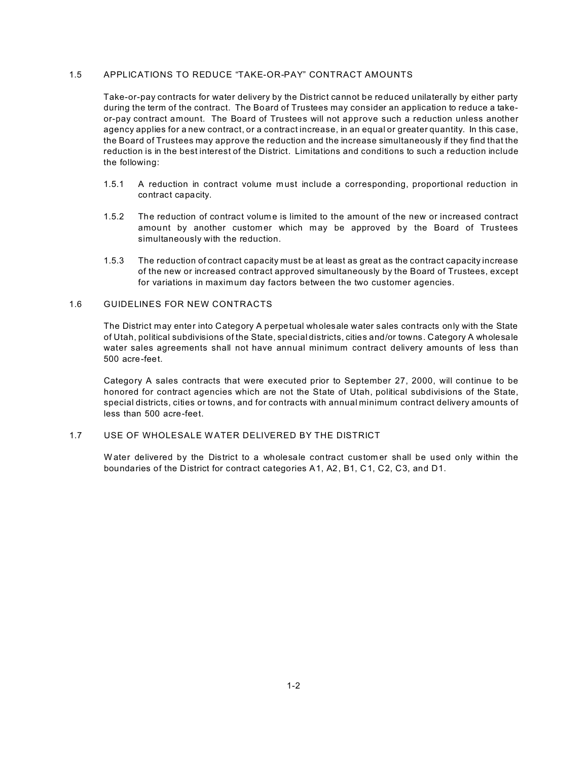## 1.5 APPLICATIONS TO REDUCE "TAKE-OR-PAY" CONTRACT AMOUNTS

Take-or-pay contracts for water delivery by the District cannot be reduced unilaterally by either party during the term of the contract. The Board of Trustees may consider an application to reduce a takeor-pay contract amount. The Board of Trustees will not approve such a reduction unless another agency applies for a new contract, or a contract increase, in an equal or greater quantity. In this case, the Board of Trustees may approve the reduction and the increase simultaneously if they find that the reduction is in the best interest of the District. Limitations and conditions to such a reduction include the following:

- 1.5.1 A reduction in contract volume must include a corresponding, proportional reduction in contract capacity.
- 1.5.2 The reduction of contract volume is limited to the amount of the new or increased contract amount by another customer which may be approved by the Board of Trustees simultaneously with the reduction.
- 1.5.3 The reduction of contract capacity must be at least as great as the contract capacity increase of the new or increased contract approved simultaneously by the Board of Trustees, except for variations in maximum day factors between the two customer agencies.

#### 1.6 GUIDELINES FOR NEW CONTRACTS

The District may enter into Category A perpetual wholesale water sales contracts only with the State of Utah, political subdivisions of the State, special districts, cities and/or towns. Category A wholesale water sales agreements shall not have annual minimum contract delivery amounts of less than 500 acre-feet.

Category A sales contracts that were executed prior to September 27, 2000, will continue to be honored for contract agencies which are not the State of Utah, political subdivisions of the State, special districts, cities or towns, and for contracts with annual minimum contract delivery amounts of less than 500 acre-feet.

# 1.7 USE OF WHOLESALE W ATER DELIVERED BY THE DISTRICT

W ater delivered by the District to a wholesale contract custom er shall be used only within the boundaries of the District for contract categories A1, A2, B1, C1, C2, C3, and D1.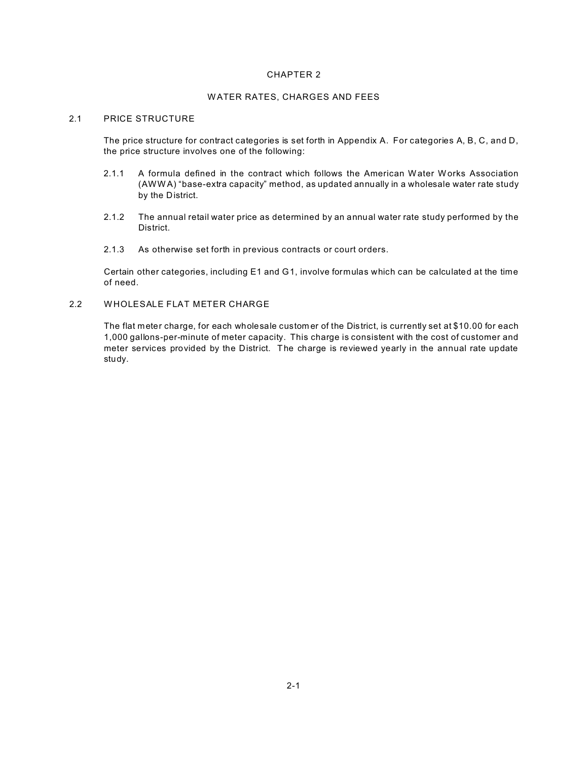#### W ATER RATES, CHARGES AND FEES

#### 2.1 PRICE STRUCTURE

The price structure for contract categories is set forth in Appendix A. For categories A, B, C, and D, the price structure involves one of the following:

- 2.1.1 A formula defined in the contract which follows the American W ater W orks Association (AWW A) "base-extra capacity" method, as updated annually in a wholesale water rate study by the District.
- 2.1.2 The annual retail water price as determined by an annual water rate study performed by the District.
- 2.1.3 As otherwise set forth in previous contracts or court orders.

Certain other categories, including E1 and G1, involve formulas which can be calculated at the time of need.

2.2 W HOLESALE FLAT METER CHARGE

The flat meter charge, for each wholesale custom er of the District, is currently set at \$10.00 for each 1,000 gallons-per-minute of meter capacity. This charge is consistent with the cost of customer and meter services provided by the District. The charge is reviewed yearly in the annual rate update study.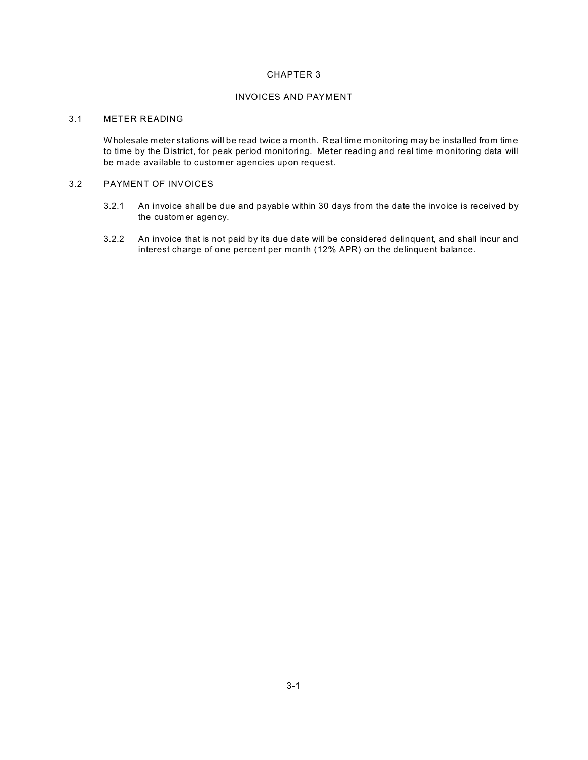#### INVOICES AND PAYMENT

## 3.1 METER READING

W holesale meter stations will be read twice a month. Real time m onitoring may be installed from time to time by the District, for peak period monitoring. Meter reading and real time m onitoring data will be m ade available to customer agencies upon request.

## 3.2 PAYMENT OF INVOICES

- 3.2.1 An invoice shall be due and payable within 30 days from the date the invoice is received by the customer agency.
- 3.2.2 An invoice that is not paid by its due date will be considered delinquent, and shall incur and interest charge of one percent per month (12% APR) on the delinquent balance.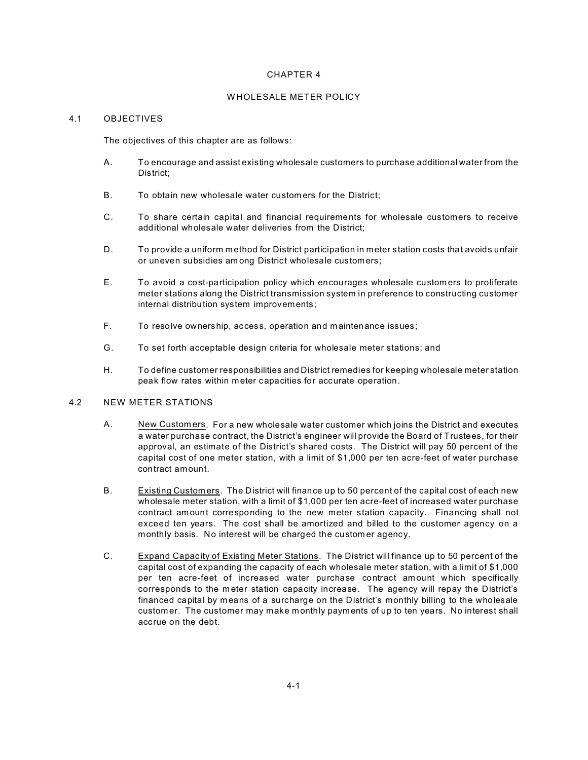#### W HOLESALE METER POLICY

#### 4.1 OBJECTIVES

The objectives of this chapter are as follows:

- A. To encourage and assist existing wholesale customers to purchase additional water from the District;
- B. To obtain new wholesale water custom ers for the District;
- C. To share certain capital and financial requirements for wholesale customers to receive additional wholesale water deliveries from the District;
- D. To provide a uniform method for District participation in meter station costs that avoids unfair or uneven subsidies am ong District wholesale customers;
- E. To avoid a cost-participation policy which encourages wholesale custom ers to proliferate meter stations along the District transmission system in preference to constructing customer internal distribution system improvements;
- F. To resolve ownership, access, operation and maintenance issues;
- G. To set forth acceptable design criteria for wholesale meter stations; and
- H. To define customer responsibilities and District remedies for keeping wholesale meter station peak flow rates within m eter capacities for accurate operation.

#### 4.2 NEW METER STATIONS

- A. New Custom ers. For a new wholesale water customer which joins the District and executes a water purchase contract, the District's engineer will provide the Board of Trustees, for their approval, an estimate of the District's shared costs. The District will pay 50 percent of the capital cost of one meter station, with a limit of \$1,000 per ten acre-feet of water purchase contract amount.
- B. Existing Custom ers. The District will finance up to 50 percent of the capital cost of each new wholesale meter station, with a limit of \$1,000 per ten acre-feet of increased water purchase contract amount corresponding to the new meter station capacity. Financing shall not exceed ten years. The cost shall be amortized and billed to the customer agency on a monthly basis. No interest will be charged the custom er agency.
- C. Expand Capacity of Existing Meter Stations. The District will finance up to 50 percent of the capital cost of expanding the capacity of each wholesale meter station, with a limit of \$1,000 per ten acre-feet of increased water purchase contract am ount which specifically corresponds to the m eter station capacity increase. The agency will repay the District's financed capital by means of a surcharge on the District's monthly billing to the wholesale custom er. The customer may make monthly payments of up to ten years. No interest shall accrue on the debt.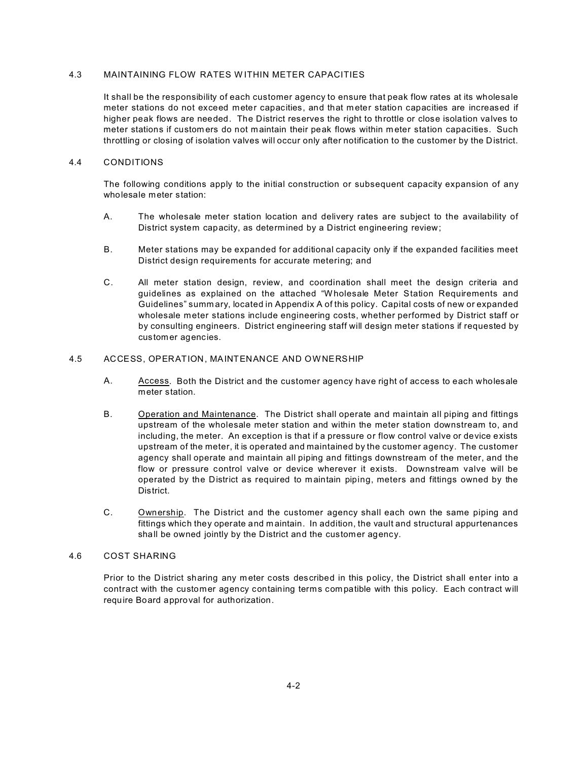#### 4.3 MAINTAINING FLOW RATES W ITHIN METER CAPACITIES

It shall be the responsibility of each customer agency to ensure that peak flow rates at its wholesale meter stations do not exceed meter capacities, and that m eter station capacities are increased if higher peak flows are needed. The District reserves the right to throttle or close isolation valves to meter stations if custom ers do not maintain their peak flows within m eter station capacities. Such throttling or closing of isolation valves will occur only after notification to the customer by the District.

#### 4.4 CONDITIONS

The following conditions apply to the initial construction or subsequent capacity expansion of any wholesale meter station:

- A. The wholesale meter station location and delivery rates are subject to the availability of District system capacity, as determined by a District engineering review;
- B. Meter stations may be expanded for additional capacity only if the expanded facilities meet District design requirements for accurate metering; and
- C. All meter station design, review, and coordination shall meet the design criteria and guidelines as explained on the attached "W holesale Meter Station Requirements and Guidelines" summ ary, located in Appendix A of this policy. Capital costs of new or expanded wholesale meter stations include engineering costs, whether performed by District staff or by consulting engineers. District engineering staff will design meter stations if requested by customer agencies.

#### 4.5 ACCESS, OPERATION, MAINTENANCE AND OW NERSHIP

- A. Access. Both the District and the customer agency have right of access to each wholesale meter station.
- B. Operation and Maintenance. The District shall operate and maintain all piping and fittings upstream of the wholesale meter station and within the meter station downstream to, and including, the meter. An exception is that if a pressure or flow control valve or device exists upstream of the meter, it is operated and maintained by the customer agency. The customer agency shall operate and maintain all piping and fittings downstream of the meter, and the flow or pressure control valve or device wherever it exists. Downstream valve will be operated by the District as required to m aintain piping, meters and fittings owned by the District.
- C. Ownership. The District and the customer agency shall each own the same piping and fittings which they operate and m aintain. In addition, the vault and structural appurtenances shall be owned jointly by the District and the customer agency.

#### 4.6 COST SHARING

Prior to the District sharing any meter costs described in this policy, the District shall enter into a contract with the customer agency containing terms com patible with this policy. Each contract will require Board approval for authorization.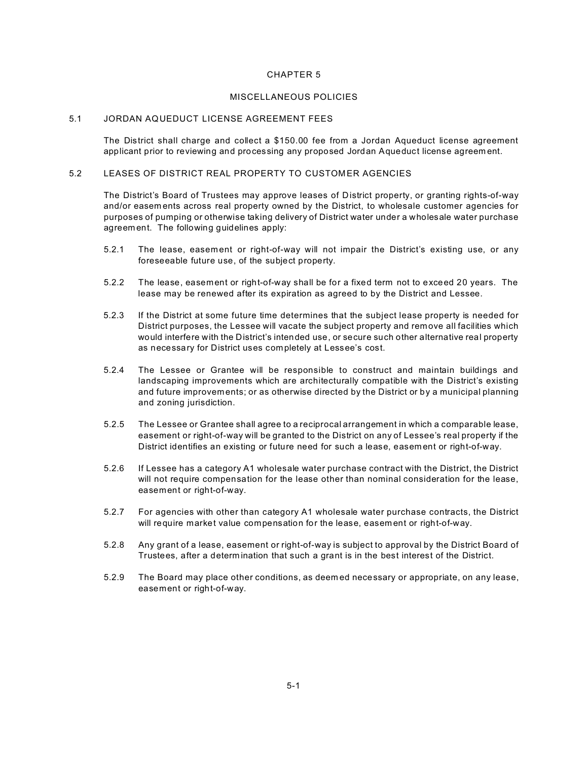#### MISCELLANEOUS POLICIES

#### 5.1 JORDAN AQUEDUCT LICENSE AGREEMENT FEES

The District shall charge and collect a \$150.00 fee from a Jordan Aqueduct license agreement applicant prior to reviewing and processing any proposed Jordan Aqueduct license agreem ent.

## 5.2 LEASES OF DISTRICT REAL PROPERTY TO CUSTOMER AGENCIES

The District's Board of Trustees may approve leases of District property, or granting rights-of-way and/or easem ents across real property owned by the District, to wholesale customer agencies for purposes of pumping or otherwise taking delivery of District water under a wholesale water purchase agreem ent. The following guidelines apply:

- 5.2.1 The lease, easement or right-of-way will not impair the District's existing use, or any foreseeable future use, of the subject property.
- 5.2.2 The lease, easement or right-of-way shall be for a fixed term not to exceed 20 years. The lease may be renewed after its expiration as agreed to by the District and Lessee.
- 5.2.3 If the District at some future time determines that the subject lease property is needed for District purposes, the Lessee will vacate the subject property and rem ove all facilities which would interfere with the District's intended use, or secure such other alternative real property as necessary for District uses completely at Lessee's cost.
- 5.2.4 The Lessee or Grantee will be responsible to construct and maintain buildings and landscaping improvements which are architecturally compatible with the District's existing and future improvements; or as otherwise directed by the District or by a municipal planning and zoning jurisdiction.
- 5.2.5 The Lessee or Grantee shall agree to a reciprocal arrangement in which a comparable lease, easement or right-of-way will be granted to the District on any of Lessee's real property if the District identifies an existing or future need for such a lease, easem ent or right-of-way.
- 5.2.6 If Lessee has a category A1 wholesale water purchase contract with the District, the District will not require compensation for the lease other than nominal consideration for the lease, easement or right-of-way.
- 5.2.7 For agencies with other than category A1 wholesale water purchase contracts, the District will require market value compensation for the lease, easem ent or right-of-way.
- 5.2.8 Any grant of a lease, easement or right-of-way is subject to approval by the District Board of Trustees, after a determ ination that such a grant is in the best interest of the District.
- 5.2.9 The Board may place other conditions, as deem ed necessary or appropriate, on any lease, easement or right-of-way.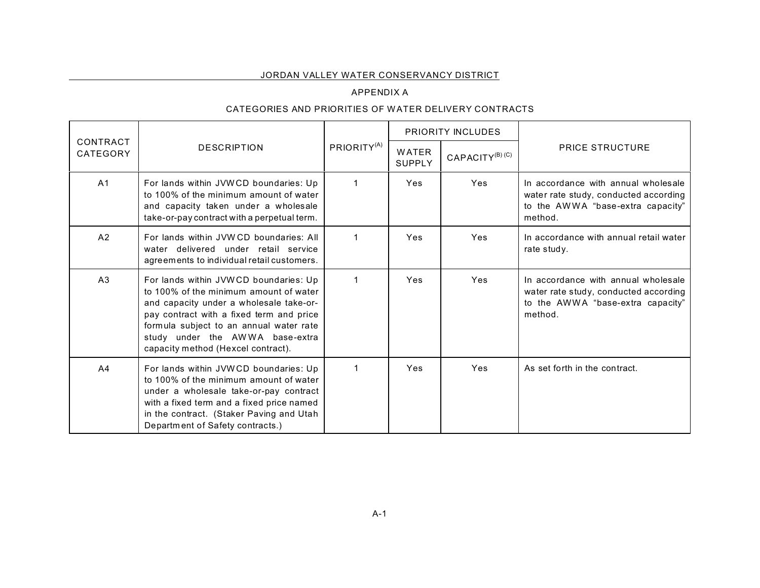## JORDAN VALLEY WATER CONSERVANCY DISTRICT

# APPENDIX A

## CATEGORIES AND PRIORITIES OF W ATER DELIVERY CONTRACTS

|                      |                                                                                                                                                                                                                                                                                            |                         | <b>PRIORITY INCLUDES</b> |                             |                                                                                                                              |
|----------------------|--------------------------------------------------------------------------------------------------------------------------------------------------------------------------------------------------------------------------------------------------------------------------------------------|-------------------------|--------------------------|-----------------------------|------------------------------------------------------------------------------------------------------------------------------|
| CONTRACT<br>CATEGORY | <b>DESCRIPTION</b>                                                                                                                                                                                                                                                                         | PRIORITY <sup>(A)</sup> | WATER<br><b>SUPPLY</b>   | CAPACITY <sup>(B)</sup> (C) | <b>PRICE STRUCTURE</b>                                                                                                       |
| A <sub>1</sub>       | For lands within JVWCD boundaries: Up<br>to 100% of the minimum amount of water<br>and capacity taken under a wholesale<br>take-or-pay contract with a perpetual term.                                                                                                                     | $\mathbf 1$             | <b>Yes</b>               | Yes                         | In accordance with annual wholesale<br>water rate study, conducted according<br>to the AWWA "base-extra capacity"<br>method. |
| A <sub>2</sub>       | For lands within JVWCD boundaries: All<br>water delivered under retail service<br>agreements to individual retail customers.                                                                                                                                                               | $\mathbf 1$             | Yes                      | Yes                         | In accordance with annual retail water<br>rate study.                                                                        |
| A <sub>3</sub>       | For lands within JVWCD boundaries: Up<br>to 100% of the minimum amount of water<br>and capacity under a wholesale take-or-<br>pay contract with a fixed term and price<br>formula subject to an annual water rate<br>study under the AWWA base-extra<br>capacity method (Hexcel contract). | 1                       | <b>Yes</b>               | Yes                         | In accordance with annual wholesale<br>water rate study, conducted according<br>to the AWWA "base-extra capacity"<br>method. |
| A <sub>4</sub>       | For lands within JVWCD boundaries: Up<br>to 100% of the minimum amount of water<br>under a wholesale take-or-pay contract<br>with a fixed term and a fixed price named<br>in the contract. (Staker Paving and Utah<br>Department of Safety contracts.)                                     | 1                       | <b>Yes</b>               | Yes                         | As set forth in the contract.                                                                                                |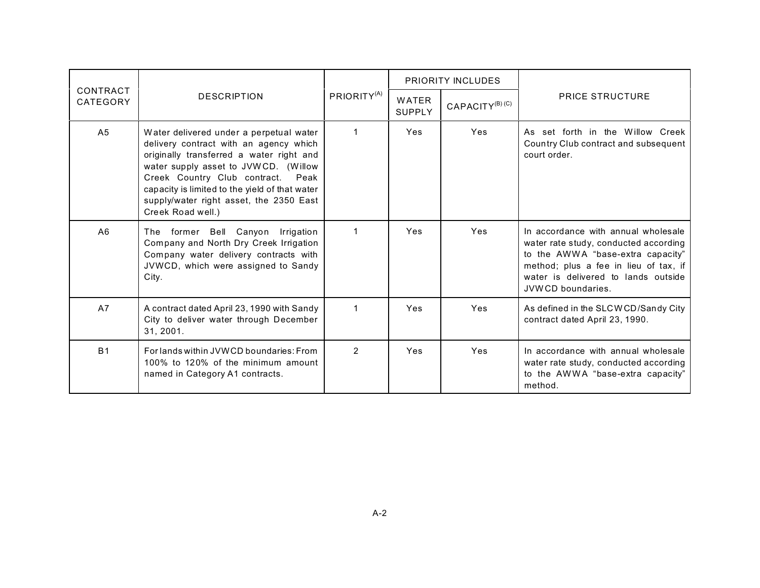|                      | <b>DESCRIPTION</b>                                                                                                                                                                                                                                                                                                              |                         | <b>PRIORITY INCLUDES</b> |                             |                                                                                                                                                                                                                        |
|----------------------|---------------------------------------------------------------------------------------------------------------------------------------------------------------------------------------------------------------------------------------------------------------------------------------------------------------------------------|-------------------------|--------------------------|-----------------------------|------------------------------------------------------------------------------------------------------------------------------------------------------------------------------------------------------------------------|
| CONTRACT<br>CATEGORY |                                                                                                                                                                                                                                                                                                                                 | PRIORITY <sup>(A)</sup> | WATER<br><b>SUPPLY</b>   | CAPACITY <sup>(B)</sup> (C) | <b>PRICE STRUCTURE</b>                                                                                                                                                                                                 |
| A <sub>5</sub>       | Water delivered under a perpetual water<br>delivery contract with an agency which<br>originally transferred a water right and<br>water supply asset to JVWCD. (Willow<br>Creek Country Club contract.<br>Peak<br>capacity is limited to the yield of that water<br>supply/water right asset, the 2350 East<br>Creek Road well.) | $\overline{1}$          | Yes                      | Yes                         | As set forth in the Willow Creek<br>Country Club contract and subsequent<br>court order.                                                                                                                               |
| A6                   | The former Bell Canyon Irrigation<br>Company and North Dry Creek Irrigation<br>Company water delivery contracts with<br>JVWCD, which were assigned to Sandy<br>City.                                                                                                                                                            | $\overline{1}$          | Yes                      | Yes                         | In accordance with annual wholesale<br>water rate study, conducted according<br>to the AWWA "base-extra capacity"<br>method; plus a fee in lieu of tax, if<br>water is delivered to lands outside<br>JVWCD boundaries. |
| A7                   | A contract dated April 23, 1990 with Sandy<br>City to deliver water through December<br>31, 2001.                                                                                                                                                                                                                               | $\mathbf 1$             | Yes                      | Yes                         | As defined in the SLCWCD/Sandy City<br>contract dated April 23, 1990.                                                                                                                                                  |
| B <sub>1</sub>       | For lands within JVWCD boundaries: From<br>100% to 120% of the minimum amount<br>named in Category A1 contracts.                                                                                                                                                                                                                | $\mathcal{P}$           | <b>Yes</b>               | Yes                         | In accordance with annual wholesale<br>water rate study, conducted according<br>to the AWWA "base-extra capacity"<br>method.                                                                                           |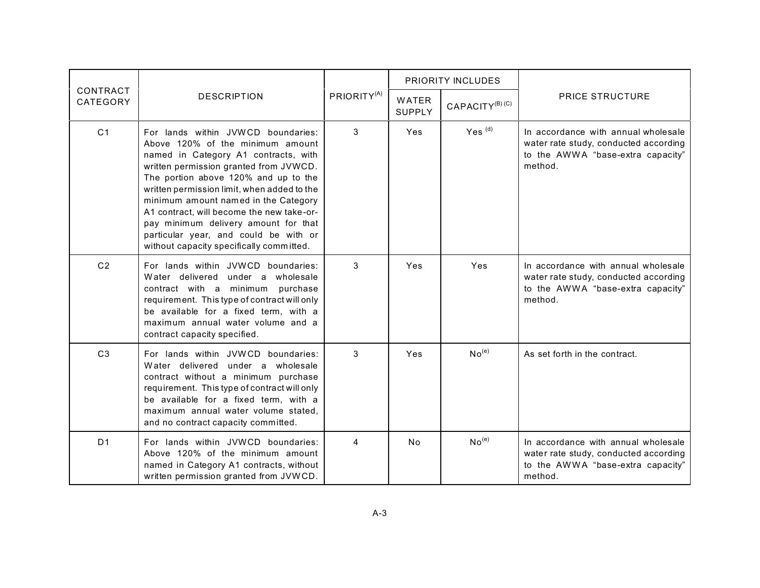|                      | <b>DESCRIPTION</b>                                                                                                                                                                                                                                                                                                                                                                                                                                                | PRIORITY <sup>(A)</sup> | PRIORITY INCLUDES      |                                        |                                                                                                                              |
|----------------------|-------------------------------------------------------------------------------------------------------------------------------------------------------------------------------------------------------------------------------------------------------------------------------------------------------------------------------------------------------------------------------------------------------------------------------------------------------------------|-------------------------|------------------------|----------------------------------------|------------------------------------------------------------------------------------------------------------------------------|
| CONTRACT<br>CATEGORY |                                                                                                                                                                                                                                                                                                                                                                                                                                                                   |                         | <b>WATER</b><br>SUPPLY | CAPACITY <sup>(B)</sup> <sup>(C)</sup> | <b>PRICE STRUCTURE</b>                                                                                                       |
| C <sub>1</sub>       | For lands within JVWCD boundaries:<br>Above 120% of the minimum amount<br>named in Category A1 contracts, with<br>written permission granted from JVWCD.<br>The portion above 120% and up to the<br>written permission limit, when added to the<br>minimum amount named in the Category<br>A1 contract, will become the new take-or-<br>pay minimum delivery amount for that<br>particular year, and could be with or<br>without capacity specifically committed. | 3                       | Yes                    | $Yes^{(d)}$                            | In accordance with annual wholesale<br>water rate study, conducted according<br>to the AWWA "base-extra capacity"<br>method. |
| C <sub>2</sub>       | For lands within JVWCD boundaries:<br>Water delivered under a wholesale<br>contract with a minimum purchase<br>requirement. This type of contract will only<br>be available for a fixed term, with a<br>maximum annual water volume and a<br>contract capacity specified.                                                                                                                                                                                         | 3                       | Yes                    | Yes                                    | In accordance with annual wholesale<br>water rate study, conducted according<br>to the AWWA "base-extra capacity"<br>method. |
| C <sub>3</sub>       | For lands within JVWCD boundaries:<br>Water delivered under a wholesale<br>contract without a minimum purchase<br>requirement. This type of contract will only<br>be available for a fixed term, with a<br>maximum annual water volume stated.<br>and no contract capacity committed.                                                                                                                                                                             | 3                       | Yes                    | No <sup>(e)</sup>                      | As set forth in the contract.                                                                                                |
| D <sub>1</sub>       | For lands within JVWCD boundaries:<br>Above 120% of the minimum amount<br>named in Category A1 contracts, without<br>written permission granted from JVWCD.                                                                                                                                                                                                                                                                                                       | 4                       | N <sub>o</sub>         | No <sup>(e)</sup>                      | In accordance with annual wholesale<br>water rate study, conducted according<br>to the AWWA "base-extra capacity"<br>method. |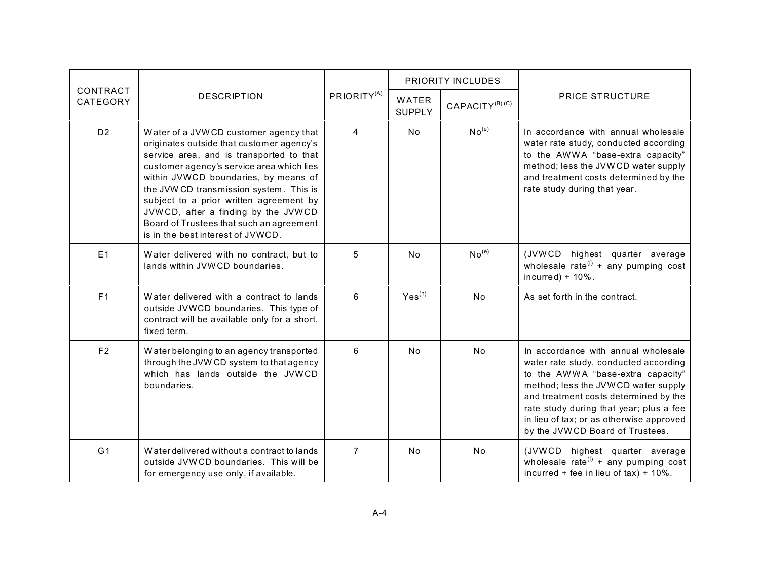|                      | <b>DESCRIPTION</b>                                                                                                                                                                                                                                                                                                                                                                                                                | PRIORITY <sup>(A)</sup> | PRIORITY INCLUDES             |                             |                                                                                                                                                                                                                                                                                                                             |
|----------------------|-----------------------------------------------------------------------------------------------------------------------------------------------------------------------------------------------------------------------------------------------------------------------------------------------------------------------------------------------------------------------------------------------------------------------------------|-------------------------|-------------------------------|-----------------------------|-----------------------------------------------------------------------------------------------------------------------------------------------------------------------------------------------------------------------------------------------------------------------------------------------------------------------------|
| CONTRACT<br>CATEGORY |                                                                                                                                                                                                                                                                                                                                                                                                                                   |                         | <b>WATER</b><br><b>SUPPLY</b> | CAPACITY <sup>(B)</sup> (C) | <b>PRICE STRUCTURE</b>                                                                                                                                                                                                                                                                                                      |
| D <sub>2</sub>       | Water of a JVWCD customer agency that<br>originates outside that customer agency's<br>service area, and is transported to that<br>customer agency's service area which lies<br>within JVWCD boundaries, by means of<br>the JVW CD transmission system. This is<br>subject to a prior written agreement by<br>JVWCD, after a finding by the JVWCD<br>Board of Trustees that such an agreement<br>is in the best interest of JVWCD. | $\overline{4}$          | <b>No</b>                     | No <sup>(e)</sup>           | In accordance with annual wholesale<br>water rate study, conducted according<br>to the AWWA "base-extra capacity"<br>method; less the JVWCD water supply<br>and treatment costs determined by the<br>rate study during that year.                                                                                           |
| E1                   | Water delivered with no contract, but to<br>lands within JVWCD boundaries.                                                                                                                                                                                                                                                                                                                                                        | 5                       | <b>No</b>                     | No <sup>(e)</sup>           | (JVWCD highest quarter average<br>wholesale rate <sup>(f)</sup> + any pumping cost<br>incurred) + $10\%$ .                                                                                                                                                                                                                  |
| F1                   | Water delivered with a contract to lands<br>outside JVWCD boundaries. This type of<br>contract will be available only for a short,<br>fixed term.                                                                                                                                                                                                                                                                                 | 6                       | $Yes^{(h)}$                   | No                          | As set forth in the contract.                                                                                                                                                                                                                                                                                               |
| F <sub>2</sub>       | Water belonging to an agency transported<br>through the JVW CD system to that agency<br>which has lands outside the JVWCD<br>boundaries.                                                                                                                                                                                                                                                                                          | 6                       | <b>No</b>                     | No                          | In accordance with annual wholesale<br>water rate study, conducted according<br>to the AWWA "base-extra capacity"<br>method; less the JVWCD water supply<br>and treatment costs determined by the<br>rate study during that year; plus a fee<br>in lieu of tax; or as otherwise approved<br>by the JVWCD Board of Trustees. |
| G <sub>1</sub>       | Water delivered without a contract to lands<br>outside JVWCD boundaries. This will be<br>for emergency use only, if available.                                                                                                                                                                                                                                                                                                    | $\overline{7}$          | No.                           | <b>No</b>                   | (JVWCD highest quarter average<br>wholesale rate <sup>(f)</sup> + any pumping cost<br>incurred + fee in lieu of $tax$ ) + 10%.                                                                                                                                                                                              |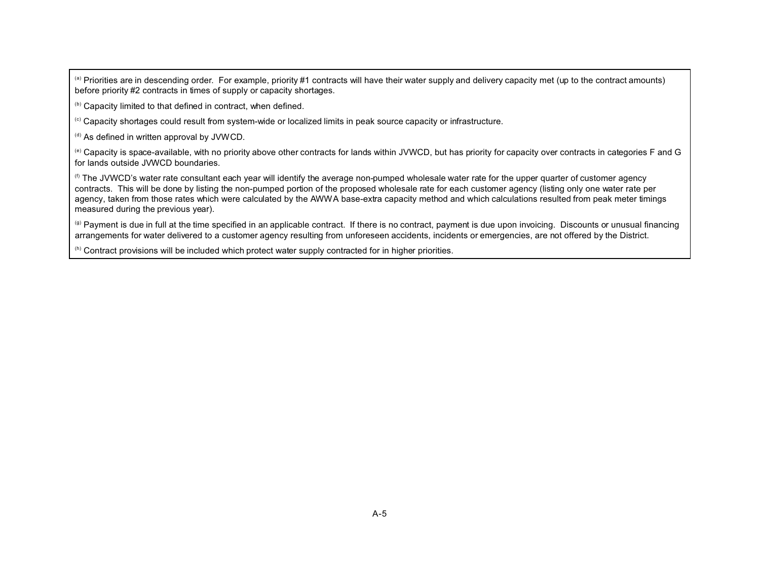(a) Priorities are in descending order. For example, priority #1 contracts will have their water supply and delivery capacity met (up to the contract amounts) before priority #2 contracts in times of supply or capacity shortages.

(b) Capacity limited to that defined in contract, when defined.

(c) Capacity shortages could result from system-wide or localized limits in peak source capacity or infrastructure.

 $^{(d)}$  As defined in written approval by JVWCD.

(e) Capacity is space-available, with no priority above other contracts for lands within JVWCD, but has priority for capacity over contracts in categories F and G for lands outside JVWCD boundaries.

(f) The JVWCD's water rate consultant each year will identify the average non-pumped wholesale water rate for the upper quarter of customer agency contracts. This will be done by listing the non-pumped portion of the proposed wholesale rate for each customer agency (listing only one water rate per agency, taken from those rates which were calculated by the AWWA base-extra capacity method and which calculations resulted from peak meter timings measured during the previous year).

 $<sup>(g)</sup>$  Payment is due in full at the time specified in an applicable contract. If there is no contract, payment is due upon invoicing. Discounts or unusual financing</sup> arrangements for water delivered to a customer agency resulting from unforeseen accidents, incidents or emergencies, are not offered by the District.

 $<sup>(h)</sup>$  Contract provisions will be included which protect water supply contracted for in higher priorities.</sup>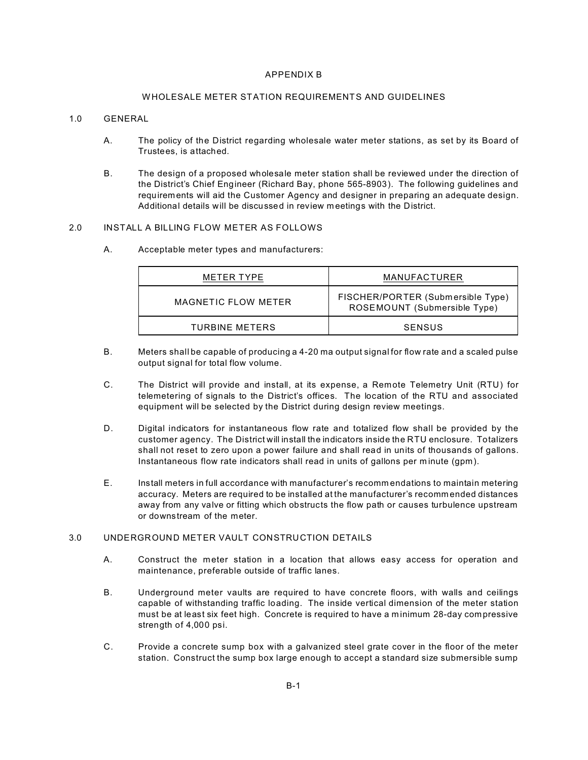#### APPENDIX B

#### W HOLESALE METER STATION REQUIREMENTS AND GUIDELINES

#### 1.0 GENERAL

- A. The policy of the District regarding wholesale water meter stations, as set by its Board of Trustees, is attached.
- B. The design of a proposed wholesale meter station shall be reviewed under the direction of the District's Chief Engineer (Richard Bay, phone 565-8903). The following guidelines and requirements will aid the Customer Agency and designer in preparing an adequate design. Additional details will be discussed in review m eetings with the District.

#### 2.0 INSTALL A BILLING FLOW METER AS FOLLOWS

A. Acceptable meter types and manufacturers:

| METER TYPE          | MANUFACTURER                                                      |  |  |
|---------------------|-------------------------------------------------------------------|--|--|
| MAGNETIC FLOW METER | FISCHER/PORTER (Submersible Type)<br>ROSEMOUNT (Submersible Type) |  |  |
| TURBINE METERS      | SENSUS                                                            |  |  |

- B. Meters shall be capable of producing a 4-20 ma output signal for flow rate and a scaled pulse output signal for total flow volume.
- C. The District will provide and install, at its expense, a Remote Telemetry Unit (RTU) for telemetering of signals to the District's offices. The location of the RTU and associated equipment will be selected by the District during design review meetings.
- D. Digital indicators for instantaneous flow rate and totalized flow shall be provided by the customer agency. The District will install the indicators inside the RTU enclosure. Totalizers shall not reset to zero upon a power failure and shall read in units of thousands of gallons. Instantaneous flow rate indicators shall read in units of gallons per m inute (gpm).
- E. Install meters in full accordance with manufacturer's recomm endations to maintain metering accuracy. Meters are required to be installed at the manufacturer's recommended distances away from any valve or fitting which obstructs the flow path or causes turbulence upstream or downstream of the meter.

## 3.0 UNDERGROUND METER VAULT CONSTRUCTION DETAILS

- A. Construct the m eter station in a location that allows easy access for operation and maintenance, preferable outside of traffic lanes.
- B. Underground meter vaults are required to have concrete floors, with walls and ceilings capable of withstanding traffic loading. The inside vertical dimension of the meter station must be at least six feet high. Concrete is required to have a m inimum 28-day compressive strength of 4,000 psi.
- C. Provide a concrete sump box with a galvanized steel grate cover in the floor of the meter station. Construct the sump box large enough to accept a standard size submersible sump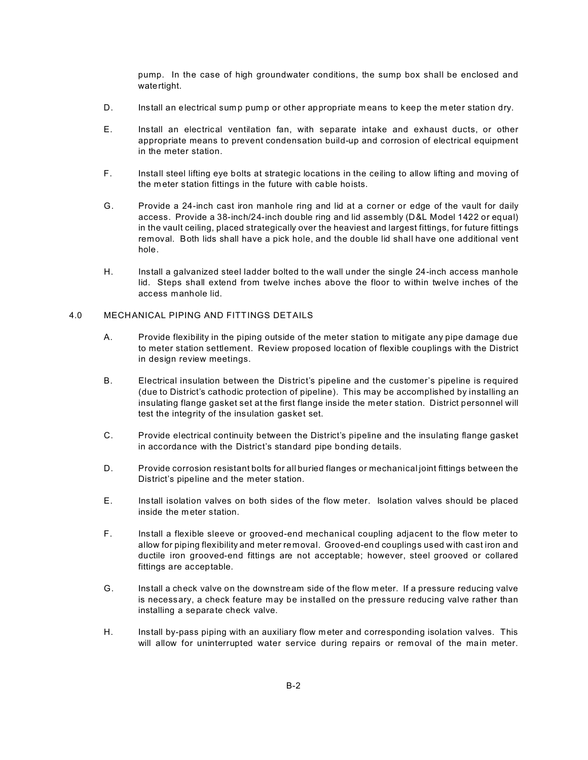pump. In the case of high groundwater conditions, the sump box shall be enclosed and watertight.

- D. Install an electrical sump pump or other appropriate means to keep the meter station dry.
- E. Install an electrical ventilation fan, with separate intake and exhaust ducts, or other appropriate means to prevent condensation build-up and corrosion of electrical equipment in the meter station.
- F. Install steel lifting eye bolts at strategic locations in the ceiling to allow lifting and moving of the m eter station fittings in the future with cable hoists.
- G. Provide a 24-inch cast iron manhole ring and lid at a corner or edge of the vault for daily access. Provide a 38-inch/24-inch double ring and lid assembly (D&L Model 1422 or equal) in the vault ceiling, placed strategically over the heaviest and largest fittings, for future fittings removal. Both lids shall have a pick hole, and the double lid shall have one additional vent hole.
- H. Install a galvanized steel ladder bolted to the wall under the single 24-inch access manhole lid. Steps shall extend from twelve inches above the floor to within twelve inches of the access manhole lid.

#### 4.0 MECHANICAL PIPING AND FITTINGS DETAILS

- A. Provide flexibility in the piping outside of the meter station to mitigate any pipe damage due to meter station settlement. Review proposed location of flexible couplings with the District in design review meetings.
- B. Electrical insulation between the District's pipeline and the customer's pipeline is required (due to District's cathodic protection of pipeline). This may be accomplished by installing an insulating flange gasket set at the first flange inside the meter station. District personnel will test the integrity of the insulation gasket set.
- C. Provide electrical continuity between the District's pipeline and the insulating flange gasket in accordance with the District's standard pipe bonding details.
- D. Provide corrosion resistant bolts for all buried flanges or mechanical joint fittings between the District's pipeline and the meter station.
- E. Install isolation valves on both sides of the flow meter. Isolation valves should be placed inside the m eter station.
- F. Install a flexible sleeve or grooved-end mechanical coupling adjacent to the flow meter to allow for piping flexibility and meter removal. Grooved-end couplings used with cast iron and ductile iron grooved-end fittings are not acceptable; however, steel grooved or collared fittings are acceptable.
- G. Install a check valve on the downstream side of the flow m eter. If a pressure reducing valve is necessary, a check feature may be installed on the pressure reducing valve rather than installing a separate check valve.
- H. Install by-pass piping with an auxiliary flow m eter and corresponding isolation valves. This will allow for uninterrupted water service during repairs or removal of the main meter.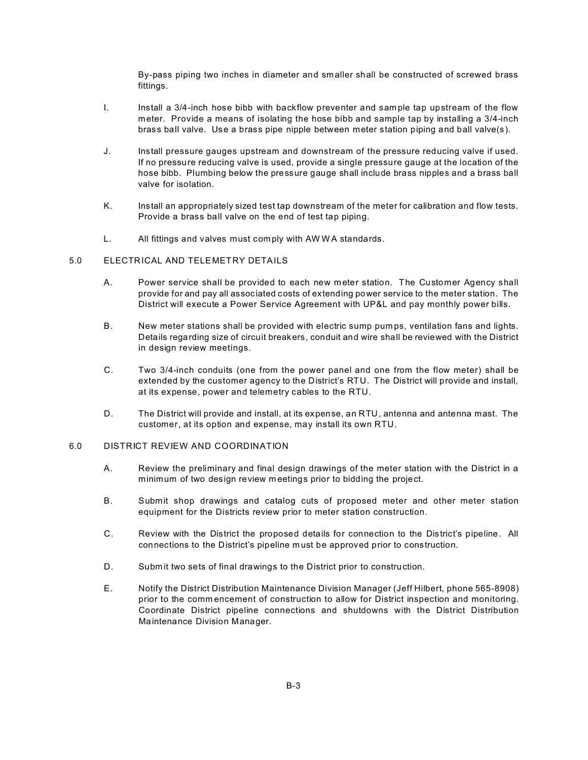By-pass piping two inches in diameter and smaller shall be constructed of screwed brass fittings.

- I. Install a 3/4-inch hose bibb with backflow preventer and sample tap upstream of the flow meter. Provide a means of isolating the hose bibb and sample tap by installing a 3/4-inch brass ball valve. Use a brass pipe nipple between meter station piping and ball valve(s).
- J. Install pressure gauges upstream and downstream of the pressure reducing valve if used. If no pressure reducing valve is used, provide a single pressure gauge at the location of the hose bibb. Plumbing below the pressure gauge shall include brass nipples and a brass ball valve for isolation.
- K. Install an appropriately sized test tap downstream of the meter for calibration and flow tests. Provide a brass ball valve on the end of test tap piping.
- L. All fittings and valves must comply with AWWA standards.

#### 5.0 ELECTRICAL AND TELEMETRY DETAILS

- A. Power service shall be provided to each new m eter station. The Customer Agency shall provide for and pay all associated costs of extending power service to the meter station. The District will execute a Power Service Agreement with UP&L and pay monthly power bills.
- B. New meter stations shall be provided with electric sump pum ps, ventilation fans and lights. Details regarding size of circuit breakers, conduit and wire shall be reviewed with the District in design review meetings.
- C. Two 3/4-inch conduits (one from the power panel and one from the flow meter) shall be extended by the customer agency to the District's RTU. The District will provide and install, at its expense, power and telemetry cables to the RTU.
- D. The District will provide and install, at its expense, an RTU, antenna and antenna mast. The customer, at its option and expense, may install its own RTU.

#### 6.0 DISTRICT REVIEW AND COORDINATION

- A. Review the preliminary and final design drawings of the meter station with the District in a minimum of two design review m eetings prior to bidding the project.
- B. Submit shop drawings and catalog cuts of proposed meter and other meter station equipment for the Districts review prior to meter station construction.
- C. Review with the District the proposed details for connection to the District's pipeline. All connections to the District's pipeline m ust be approved prior to construction.
- D. Submit two sets of final drawings to the District prior to construction.
- E. Notify the District Distribution Maintenance Division Manager (Jeff Hilbert, phone 565-8908) prior to the comm encement of construction to allow for District inspection and monitoring. Coordinate District pipeline connections and shutdowns with the District Distribution Maintenance Division Manager.